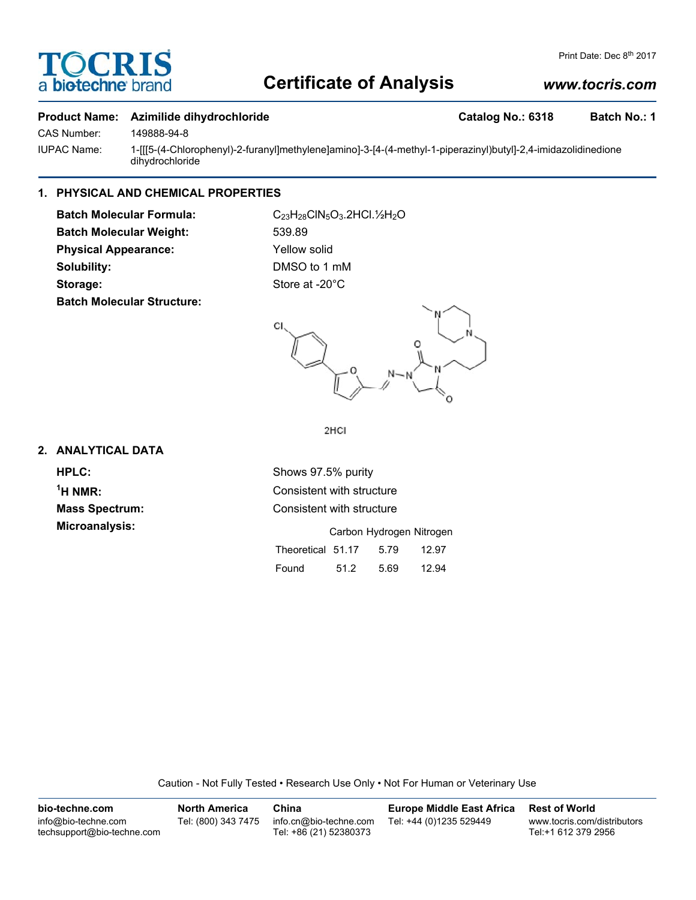# **OCRI** a biotechne

# **Certificate of Analysis**

# *www.tocris.com*

### **Product Name: Azimilide dihydrochloride Catalog No.: 6318 Batch No.: 1**

CAS Number: 149888-94-8

IUPAC Name: 1-[[[5-(4-Chlorophenyl)-2-furanyl]methylene]amino]-3-[4-(4-methyl-1-piperazinyl)butyl]-2,4-imidazolidinedione dihydrochloride

## **1. PHYSICAL AND CHEMICAL PROPERTIES**

**Batch Molecular Formula:** C<sub>23</sub>H<sub>28</sub>ClN<sub>5</sub>O<sub>3</sub>.2HCl.1/<sub>2</sub>H<sub>2</sub>O **Batch Molecular Weight:** 539.89 **Physical Appearance:** Yellow solid **Solubility:** DMSO to 1 mM Storage: Store at -20°C **Batch Molecular Structure:**



2HCI

## **2. ANALYTICAL DATA**

 $<sup>1</sup>H NMR$ :</sup>

**HPLC:** Shows 97.5% purity **Consistent with structure Mass Spectrum:** Consistent with structure **Microanalysis:** Microanalysis: **Carbon Hydrogen Nitrogen** Theoretical 51.17 5.79 12.97 Found 51.2 5.69 12.94

Caution - Not Fully Tested • Research Use Only • Not For Human or Veterinary Use

| bio-techne.com                                    | <b>North America</b> | China                                            | <b>Europe Middle East Africa</b> | <b>Rest of World</b>                               |
|---------------------------------------------------|----------------------|--------------------------------------------------|----------------------------------|----------------------------------------------------|
| info@bio-techne.com<br>techsupport@bio-techne.com | Tel: (800) 343 7475  | info.cn@bio-techne.com<br>Tel: +86 (21) 52380373 | Tel: +44 (0)1235 529449          | www.tocris.com/distributors<br>Tel:+1 612 379 2956 |